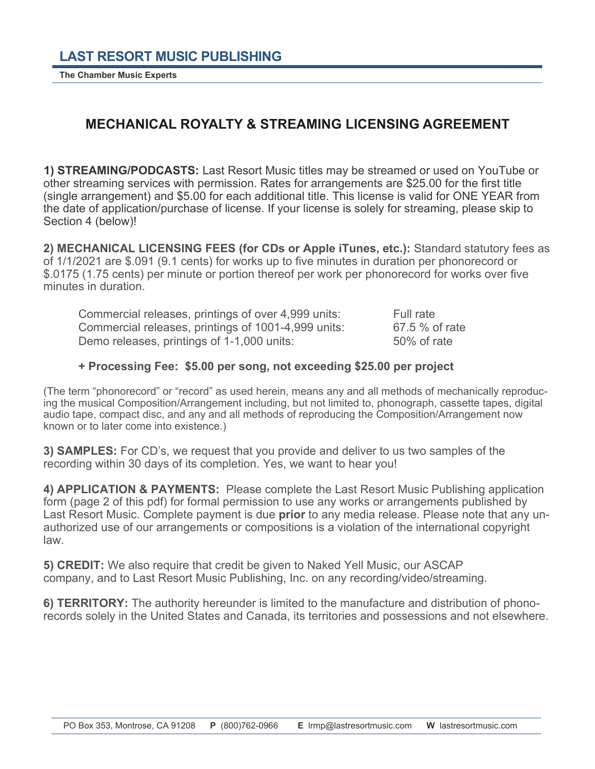**The Chamber Music Experts** 

## **MECHANICAL ROYALTY & STREAMING LICENSING AGREEMENT**

**1) STREAMING/PODCASTS:** Last Resort Music titles may be streamed or used on YouTube or other streaming services with permission. Rates for arrangements are \$25.00 for the first title (single arrangement) and \$5.00 for each additional title. This license is valid for ONE YEAR from the date of application/purchase of license. If your license is solely for streaming, please skip to Section 4 (below)!

**2) MECHANICAL LICENSING FEES (for CDs or Apple iTunes, etc.):** Standard statutory fees as of 1/1/2021 are \$.091 (9.1 cents) for works up to five minutes in duration per phonorecord or \$.0175 (1.75 cents) per minute or portion thereof per work per phonorecord for works over five minutes in duration.

Commercial releases, printings of over 4,999 units: Full rate Commercial releases, printings of 1001-4,999 units: 67.5 % of rate Demo releases, printings of 1-1,000 units: 50% of rate

## **+ Processing Fee: \$5.00 per song, not exceeding \$25.00 per project**

(The term "phonorecord" or "record" as used herein, means any and all methods of mechanically reproducing the musical Composition/Arrangement including, but not limited to, phonograph, cassette tapes, digital audio tape, compact disc, and any and all methods of reproducing the Composition/Arrangement now known or to later come into existence.)

**3) SAMPLES:** For CD's, we request that you provide and deliver to us two samples of the recording within 30 days of its completion. Yes, we want to hear you!

**4) APPLICATION & PAYMENTS:** Please complete the Last Resort Music Publishing application form (page 2 of this pdf) for formal permission to use any works or arrangements published by Last Resort Music. Complete payment is due **prior** to any media release. Please note that any unauthorized use of our arrangements or compositions is a violation of the international copyright law.

**5) CREDIT:** We also require that credit be given to Naked Yell Music, our ASCAP company, and to Last Resort Music Publishing, Inc. on any recording/video/streaming.

**6) TERRITORY:** The authority hereunder is limited to the manufacture and distribution of phonorecords solely in the United States and Canada, its territories and possessions and not elsewhere.